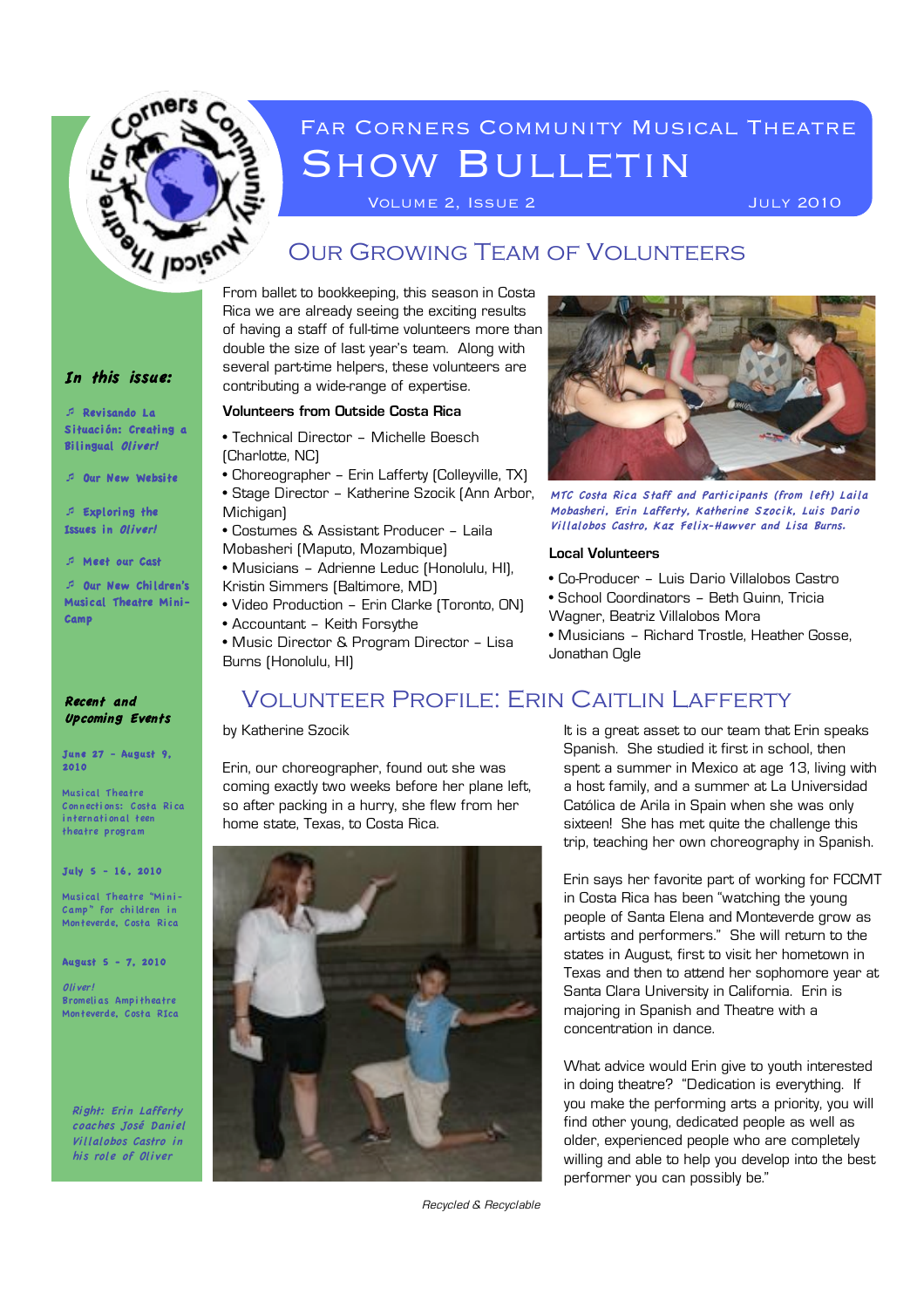

# Far Corners Community Musical Theatre SHOW BULLETIN

Volume 2, Issue 2 July 2010

## OUR GROWING TEAM OF VOLUNTEERS

From ballet to bookkeeping, this season in Costa Rica we are already seeing the exciting results of having a staff of full-time volunteers more than double the size of last year's team. Along with several part-time helpers, these volunteers are contributing a wide-range of expertise.

#### **Volunteers from Outside Costa Rica**

• Technical Director – Michelle Boesch (Charlotte, NC)

- Choreographer Erin Lafferty (Colleyville, TX)
- Stage Director Katherine Szocik (Ann Arbor, **Michigan**
- Costumes & Assistant Producer Laila
- Mobasheri (Maputo, Mozambique) • Musicians – Adrienne Leduc (Honolulu, HI), Kristin Simmers (Baltimore, MD)
- Video Production Erin Clarke (Toronto, ON)
- 
- Accountant Keith Forsythe
- Music Director & Program Director Lisa Burns (Honolulu, HI)



MTC Costa Rica Staff and Participants (from left) Laila Mobasheri, Erin Lafferty, Katherine S zocik, Luis Dario Vi llalobos Castro, Kaz Felix-Hawver and Lisa Burns.

#### **Local Volunteers**

- Co-Producer Luis Dario Villalobos Castro
- School Coordinators Beth Quinn, Tricia Wagner, Beatriz Villalobos Mora
- Musicians Richard Trostle, Heather Gosse, Jonathan Ogle

## In this issue:

! Revisando La Situación: Creating a Bi lingual Oliver!

! Our New Websi te

 $I<sup>2</sup>$  Exploring the Issues in Oliver!

- ! Meet our Cast
- ! Our New Chi ldren's Musical Theatre Mini-Camp

#### Recent and Upcoming Events

June 27 - August 9, 2010

Musi cal Theatre Connecti ons: Costa Ri ca i nternati onal teen theatre program

#### July 5 - 16 , 2010

Musi cal Theatre "Mi ni - Camp" for chi ldren i n Monteverde, Costa Ri ca

August 5 - 7, 2010

Oli ver! Bromeli as Ampi theatre Monteverde, Costa RIca

Right: Erin Lafferty coaches José Daniel Vi llalobos Castro in his role of Oliver

## Volunteer Profile: Erin Caitlin Lafferty

by Katherine Szocik

Erin, our choreographer, found out she was coming exactly two weeks before her plane left, so after packing in a hurry, she flew from her home state, Texas, to Costa Rica.



Recycled & Recyclable

It is a great asset to our team that Erin speaks Spanish. She studied it first in school, then spent a summer in Mexico at age 13, living with a host family, and a summer at La Universidad Católica de Arila in Spain when she was only sixteen! She has met quite the challenge this trip, teaching her own choreography in Spanish.

Erin says her favorite part of working for FCCMT in Costa Rica has been "watching the young people of Santa Elena and Monteverde grow as artists and performers." She will return to the states in August, first to visit her hometown in Texas and then to attend her sophomore year at Santa Clara University in California. Erin is majoring in Spanish and Theatre with a concentration in dance.

What advice would Erin give to youth interested in doing theatre? "Dedication is everything. If you make the performing arts a priority, you will find other young, dedicated people as well as older, experienced people who are completely willing and able to help you develop into the best performer you can possibly be."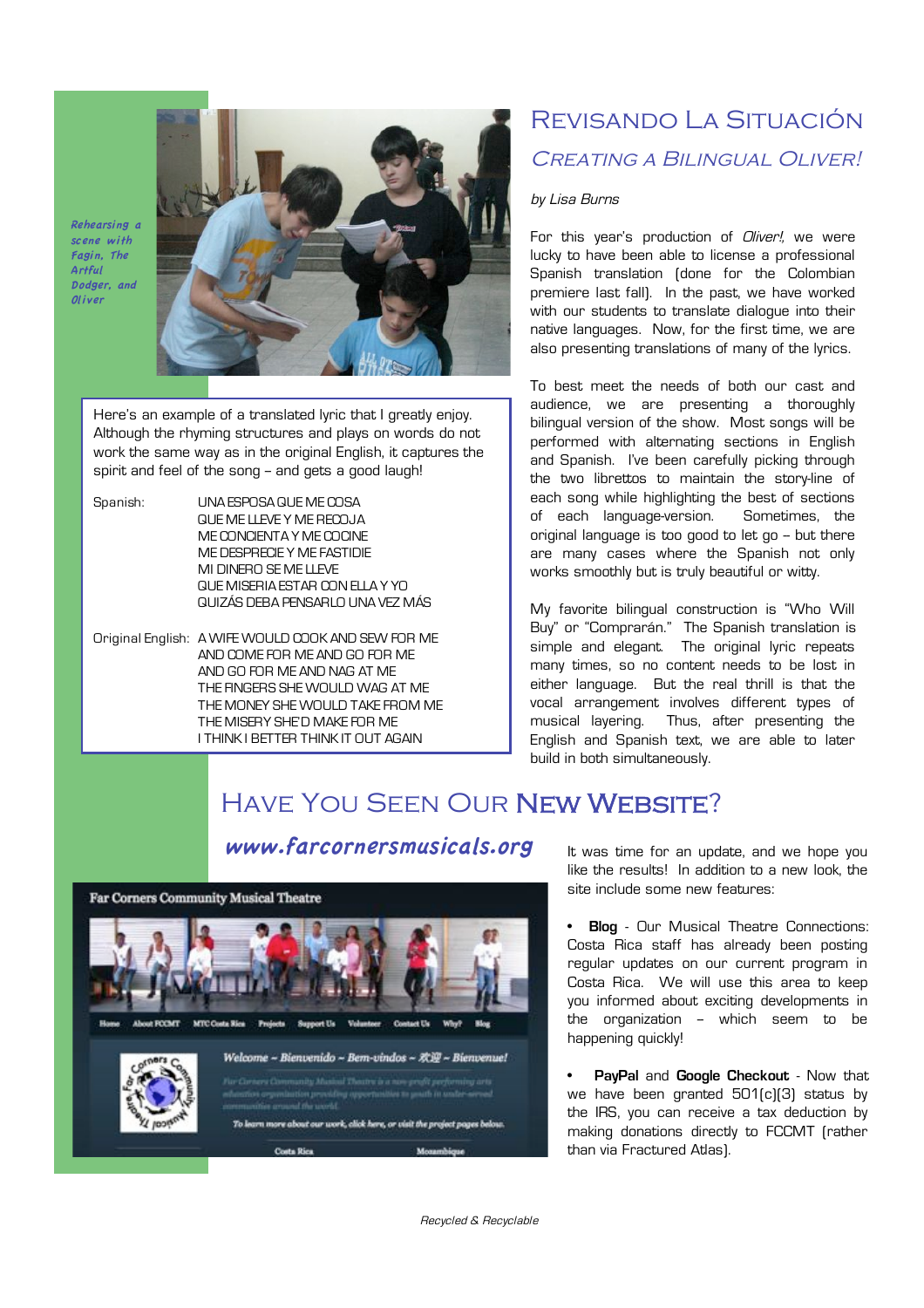Rehearsing a scene with Fagin, The Artful Dodger, and Oliver



Here's an example of a translated lyric that I greatly enjoy. Although the rhyming structures and plays on words do not work the same way as in the original English, it captures the spirit and feel of the song - and gets a good laugh!

Spanish: UNA ESPOSA QUE ME COSA

QUE ME LLEVE Y ME RECOJA ME CONCIENTA Y ME COCINE ME DESPRECIE Y ME FASTIDIE MI DINERO SE ME LLEVE QUE MISERIA ESTAR CON ELLA Y YO QUIZÁS DEBA PENSARLO UNA VEZ MÁS

Original English: A WIFE WOULD COOK AND SEW FOR ME AND COME FOR ME AND GO FOR ME AND GO FOR ME AND NAG AT ME THE FINGERS SHE WOULD WAG AT ME THE MONEY SHE WOULD TAKE FROM ME THE MISERY SHE'D MAKE FOR ME I THINK I BETTER THINK IT OUT AGAIN

# Revisando La Situación CREATING A BILINGUAL OLIVER!

#### by Lisa Burns

For this year's production of *Oliver!*, we were lucky to have been able to license a professional Spanish translation (done for the Colombian premiere last fall). In the past, we have worked with our students to translate dialogue into their native languages. Now, for the first time, we are also presenting translations of many of the lyrics.

To best meet the needs of both our cast and audience, we are presenting a thoroughly bilingual version of the show. Most songs will be performed with alternating sections in English and Spanish. I've been carefully picking through the two librettos to maintain the story-line of each song while highlighting the best of sections of each language-version. Sometimes, the original language is too good to let go  $-$  but there are many cases where the Spanish not only works smoothly but is truly beautiful or witty.

My favorite bilingual construction is "Who Will Buy" or "Comprarán." The Spanish translation is simple and elegant. The original lyric repeats many times, so no content needs to be lost in either language. But the real thrill is that the vocal arrangement involves different types of musical layering. Thus, after presenting the English and Spanish text, we are able to later build in both simultaneously.

# Have You Seen Our New Website?

### www.farcornersmusicals.org



It was time for an update, and we hope you like the results! In addition to a new look, the site include some new features:

• **Blog** - Our Musical Theatre Connections: Costa Rica staff has already been posting regular updates on our current program in Costa Rica. We will use this area to keep you informed about exciting developments in the organization  $-$  which seem to be happening quickly!

• **PayPal** and **Google Checkout** - Now that we have been granted 501(c)(3) status by the IRS, you can receive a tax deduction by making donations directly to FCCMT (rather than via Fractured Atlas).

Recycled & Recyclable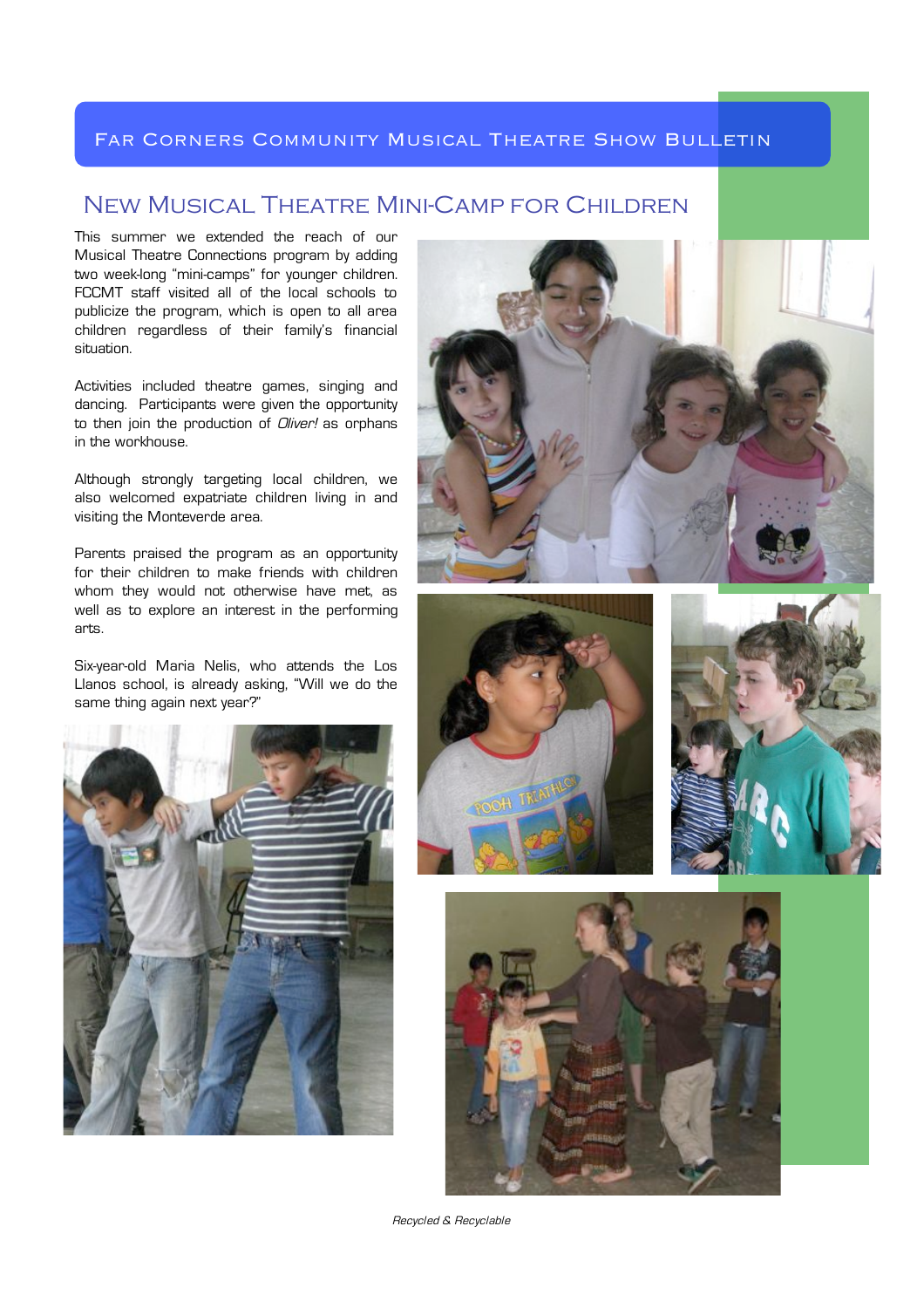### FAR CORNERS COMMUNITY MUSICAL THEATRE SHOW BULLETIN

## New Musical Theatre Mini-Camp for Children

This summer we extended the reach of our Musical Theatre Connections program by adding two week-long "mini-camps" for younger children. FCCMT staff visited all of the local schools to publicize the program, which is open to all area children regardless of their family's financial situation.

Activities included theatre games, singing and dancing. Participants were given the opportunity to then join the production of *Oliver!* as orphans in the workhouse.

Although strongly targeting local children, we also welcomed expatriate children living in and visiting the Monteverde area.

Parents praised the program as an opportunity for their children to make friends with children whom they would not otherwise have met, as well as to explore an interest in the performing arts.

Six-year-old Maria Nelis, who attends the Los Llanos school, is already asking, "Will we do the same thing again next year?"











Recycled & Recyclable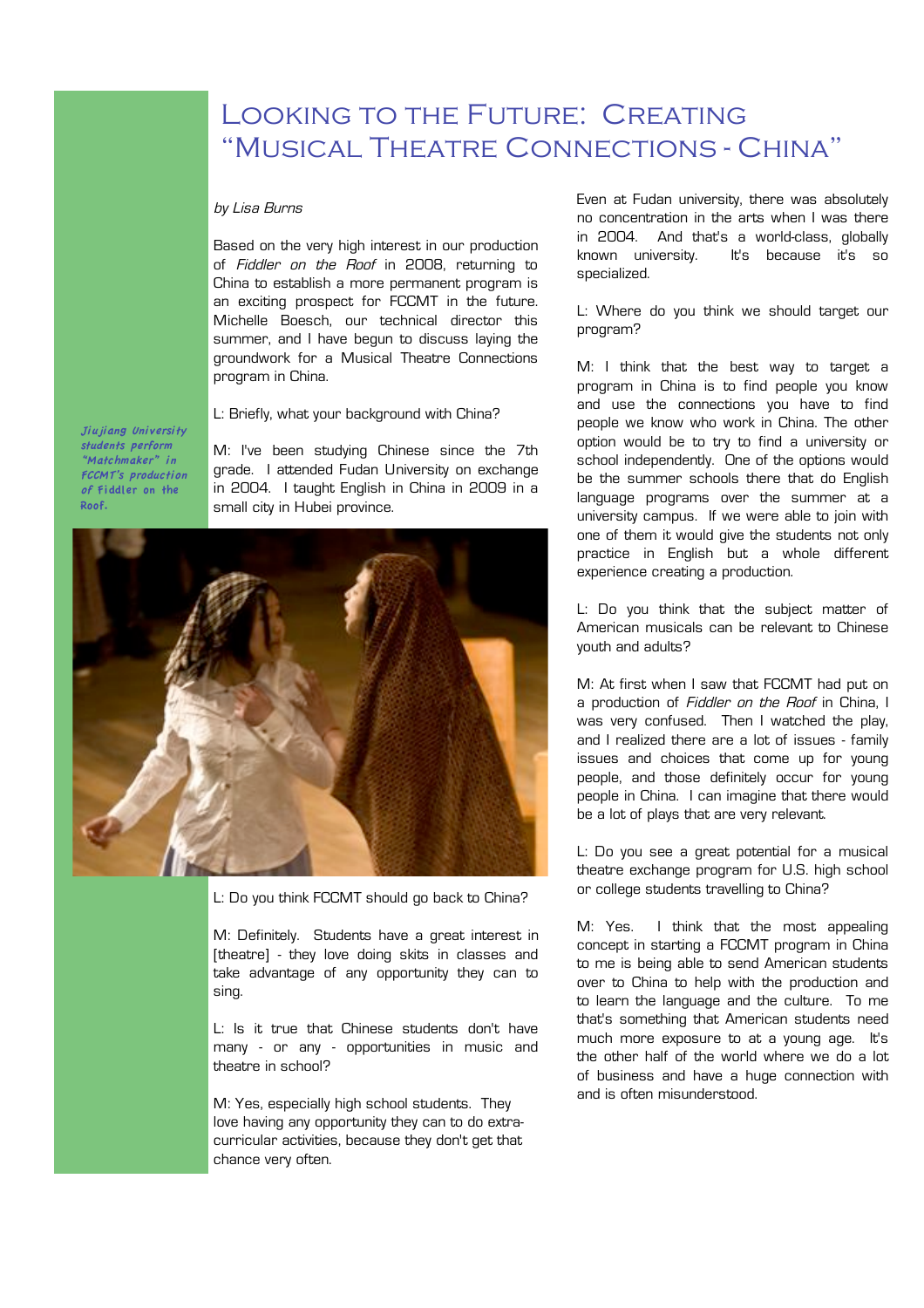# Looking to the Future: Creating "Musical Theatre Connections - China"

#### by Lisa Burns

Based on the very high interest in our production of Fiddler on the Roof in 2008, returning to China to establish a more permanent program is an exciting prospect for FCCMT in the future. Michelle Boesch, our technical director this summer, and I have begun to discuss laying the groundwork for a Musical Theatre Connections program in China.

L: Briefly, what your background with China?

M: I've been studying Chinese since the 7th grade. I attended Fudan University on exchange in 2004. I taught English in China in 2009 in a small city in Hubei province.



L: Do you think FCCMT should go back to China?

M: Definitely. Students have a great interest in [theatre] - they love doing skits in classes and take advantage of any opportunity they can to sing.

L: Is it true that Chinese students don't have many - or any - opportunities in music and theatre in school?

M: Yes, especially high school students. They love having any opportunity they can to do extracurricular activities, because they don't get that chance very often.

Even at Fudan university, there was absolutely no concentration in the arts when I was there in 2004. And that's a world-class, globally known university. It's because it's so specialized.

L: Where do you think we should target our program?

M: I think that the best way to target a program in China is to find people you know and use the connections you have to find people we know who work in China. The other option would be to try to find a university or school independently. One of the options would be the summer schools there that do English language programs over the summer at a university campus. If we were able to join with one of them it would give the students not only practice in English but a whole different experience creating a production.

L: Do you think that the subject matter of American musicals can be relevant to Chinese youth and adults?

M: At first when I saw that FCCMT had put on a production of Fiddler on the Roof in China, I was very confused. Then I watched the play, and I realized there are a lot of issues - family issues and choices that come up for young people, and those definitely occur for young people in China. I can imagine that there would be a lot of plays that are very relevant.

L: Do you see a great potential for a musical theatre exchange program for U.S. high school or college students travelling to China?

M: Yes. I think that the most appealing concept in starting a FCCMT program in China to me is being able to send American students over to China to help with the production and to learn the language and the culture. To me that's something that American students need much more exposure to at a young age. It's the other half of the world where we do a lot of business and have a huge connection with and is often misunderstood.

Jiujiang University students perform "Matchmaker" in FCCMT's production of Fiddler on the Roof.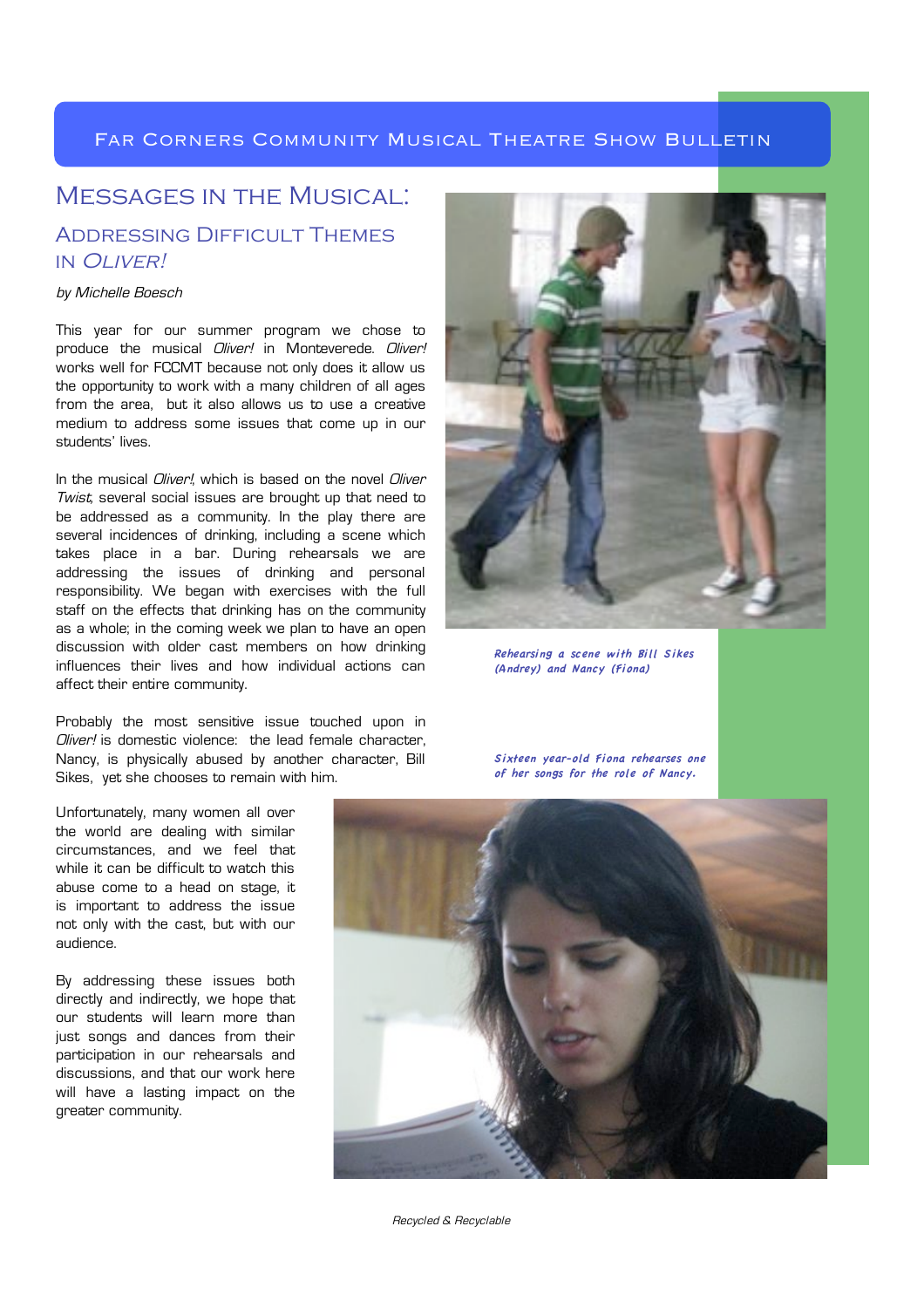#### Far Corners Community Musical Theatre Show Bulletin

## Messages in the Musical:

### ADDRESSING DIFFICULT THEMES IN OLIVER!

#### by Michelle Boesch

This year for our summer program we chose to produce the musical *Oliver!* in Monteverede. *Oliver!* works well for FCCMT because not only does it allow us the opportunity to work with a many children of all ages from the area, but it also allows us to use a creative medium to address some issues that come up in our students' lives.

In the musical *Oliver!*, which is based on the novel *Oliver* Twist, several social issues are brought up that need to be addressed as a community. In the play there are several incidences of drinking, including a scene which takes place in a bar. During rehearsals we are addressing the issues of drinking and personal responsibility. We began with exercises with the full staff on the effects that drinking has on the community as a whole; in the coming week we plan to have an open discussion with older cast members on how drinking influences their lives and how individual actions can affect their entire community.

Probably the most sensitive issue touched upon in Oliver! is domestic violence: the lead female character, Nancy, is physically abused by another character, Bill Sikes, yet she chooses to remain with him.

Unfortunately, many women all over the world are dealing with similar circumstances, and we feel that while it can be difficult to watch this abuse come to a head on stage, it is important to address the issue not only with the cast, but with our audience.

By addressing these issues both directly and indirectly, we hope that our students will learn more than just songs and dances from their participation in our rehearsals and discussions, and that our work here will have a lasting impact on the greater community.



Rehearsing a scene with Bill Sikes (Andrey) and Nancy (Fiona)

Sixteen year-old Fiona rehearses one of her songs for the role of Nancy.



Recycled & Recyclable